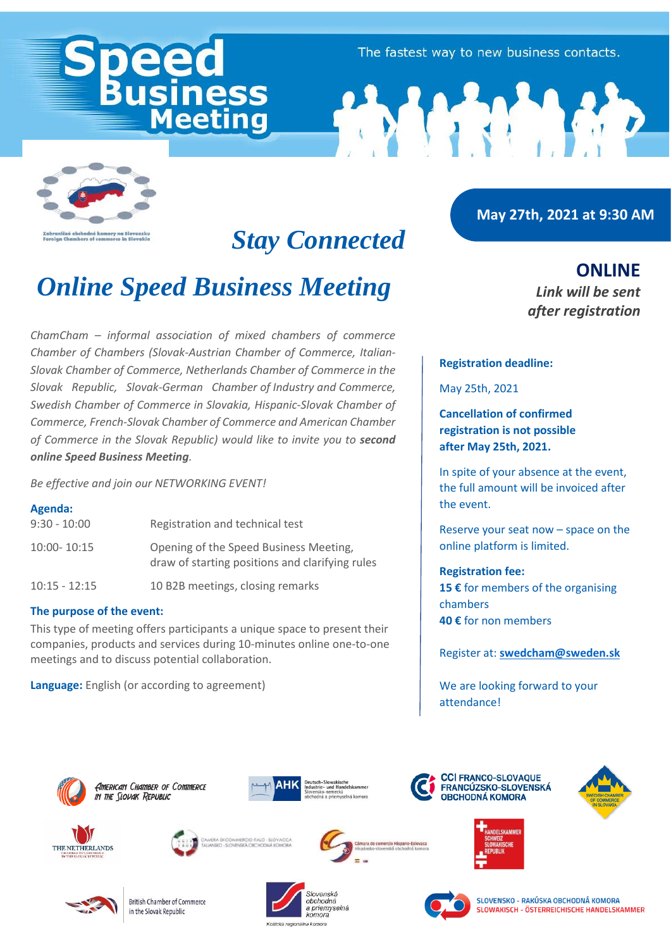eetina

The fastest way to new business contacts.



## *Stay Connected*

# *Online Speed Business Meeting*

*ChamCham – informal association of mixed chambers of commerce Chamber of Chambers (Slovak-Austrian Chamber of Commerce, Italian-Slovak Chamber of Commerce, Netherlands Chamber of Commerce in the Slovak Republic, Slovak-German Chamber of Industry and Commerce, Swedish Chamber of Commerce in Slovakia, Hispanic-Slovak Chamber of Commerce, French-Slovak Chamber of Commerce and American Chamber of Commerce in the Slovak Republic) would like to invite you to second online Speed Business Meeting.* 

*Be effective and join our NETWORKING EVENT!*

## **Agenda:**

| $9:30 - 10:00$  | Registration and technical test                                                           |
|-----------------|-------------------------------------------------------------------------------------------|
| 10:00-10:15     | Opening of the Speed Business Meeting,<br>draw of starting positions and clarifying rules |
| $10:15 - 12:15$ | 10 B2B meetings, closing remarks                                                          |

## **The purpose of the event:**

This type of meeting offers participants a unique space to present their companies, products and services during 10-minutes online one-to-one meetings and to discuss potential collaboration.

**Language:** English (or according to agreement)

## **May 27th, 2021 at 9:30 AM**

**ONLINE** *Link will be sent after registration*

## **Registration deadline:**

May 25th, 2021

**Cancellation of confirmed registration is not possible after May 25th, 2021.**

In spite of your absence at the event, the full amount will be invoiced after the event.

Reserve your seat now – space on the online platform is limited.

## **Registration fee:**

**15 €** for members of the organising chambers **40 €** for non members

Register at: **[swedcham@sweden.sk](mailto:swedcham@sweden.sk)**

We are looking forward to your attendance!

























**British Chamber of Commerce** in the Slovak Republic





SLOVENSKO – PAKÚSKA OBCHODNÁ KOMORA SLOWAKISCH - ÖSTERREICHISCHE HANDELSKAMMER